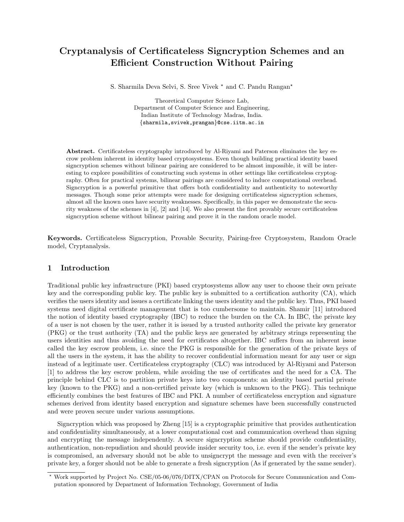# Cryptanalysis of Certificateless Signcryption Schemes and an Efficient Construction Without Pairing

S. Sharmila Deva Selvi, S. Sree Vivek  $*$  and C. Pandu Rangan $*$ 

Theoretical Computer Science Lab, Department of Computer Science and Engineering, Indian Institute of Technology Madras, India. {sharmila,svivek,prangan}@cse.iitm.ac.in

Abstract. Certificateless cryptography introduced by Al-Riyami and Paterson eliminates the key escrow problem inherent in identity based cryptosystems. Even though building practical identity based signcryption schemes without bilinear pairing are considered to be almost impossible, it will be interesting to explore possibilities of constructing such systems in other settings like certificateless cryptography. Often for practical systems, bilinear pairings are considered to induce computational overhead. Signcryption is a powerful primitive that offers both confidentiality and authenticity to noteworthy messages. Though some prior attempts were made for designing certificateless signcryption schemes, almost all the known ones have security weaknesses. Specifically, in this paper we demonstrate the security weakness of the schemes in [4], [2] and [14]. We also present the first provably secure certificateless signcryption scheme without bilinear pairing and prove it in the random oracle model.

Keywords. Certificateless Signcryption, Provable Security, Pairing-free Cryptosystem, Random Oracle model, Cryptanalysis.

## 1 Introduction

Traditional public key infrastructure (PKI) based cryptosystems allow any user to choose their own private key and the corresponding public key. The public key is submitted to a certification authority (CA), which verifies the users identity and issues a certificate linking the users identity and the public key. Thus, PKI based systems need digital certificate management that is too cumbersome to maintain. Shamir [11] introduced the notion of identity based cryptography (IBC) to reduce the burden on the CA. In IBC, the private key of a user is not chosen by the user, rather it is issued by a trusted authority called the private key generator (PKG) or the trust authority (TA) and the public keys are generated by arbitrary strings representing the users identities and thus avoiding the need for certificates altogether. IBC suffers from an inherent issue called the key escrow problem, i.e. since the PKG is responsible for the generation of the private keys of all the users in the system, it has the ability to recover confidential information meant for any user or sign instead of a legitimate user. Certificateless cryptography (CLC) was introduced by Al-Riyami and Paterson [1] to address the key escrow problem, while avoiding the use of certificates and the need for a CA. The principle behind CLC is to partition private keys into two components: an identity based partial private key (known to the PKG) and a non-certified private key (which is unknown to the PKG). This technique efficiently combines the best features of IBC and PKI. A number of certificateless encryption and signature schemes derived from identity based encryption and signature schemes have been successfully constructed and were proven secure under various assumptions.

Signcryption which was proposed by Zheng [15] is a cryptographic primitive that provides authentication and confidentiality simultaneously, at a lower computational cost and communication overhead than signing and encrypting the message independently. A secure signcryption scheme should provide confidentiality, authentication, non-repudiation and should provide insider security too, i.e. even if the sender's private key is compromised, an adversary should not be able to unsigncrypt the message and even with the receiver's private key, a forger should not be able to generate a fresh signcryption (As if generated by the same sender).

<sup>?</sup> Work supported by Project No. CSE/05-06/076/DITX/CPAN on Protocols for Secure Communication and Computation sponsored by Department of Information Technology, Government of India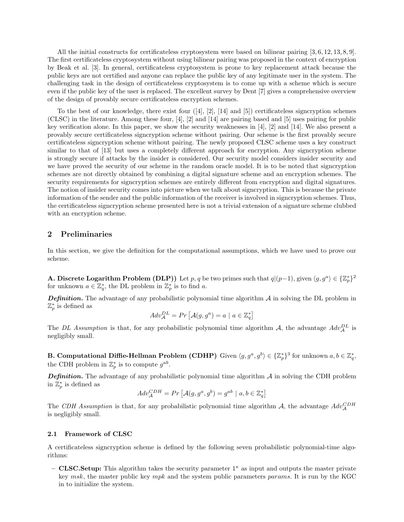All the initial constructs for certificateless cryptosystem were based on bilinear pairing [3, 6, 12, 13, 8, 9]. The first certificateless cryptosystem without using bilinear pairing was proposed in the context of encryption by Beak et al. [3]. In general, certificateless cryptosystem is prone to key replacement attack because the public keys are not certified and anyone can replace the public key of any legitimate user in the system. The challenging task in the design of certificateless cryptosystem is to come up with a scheme which is secure even if the public key of the user is replaced. The excellent survey by Dent [7] gives a comprehensive overview of the design of provably secure certificateless encryption schemes.

To the best of our knowledge, there exist four  $([4], [2], [14]$  and  $[5]$ ) certificateless signcryption schemes (CLSC) in the literature. Among these four, [4], [2] and [14] are pairing based and [5] uses pairing for public key verification alone. In this paper, we show the security weaknesses in [4], [2] and [14]. We also present a provably secure certificateless signcryption scheme without pairing. Our scheme is the first provably secure certificateless signcryption scheme without pairing. The newly proposed CLSC scheme uses a key construct similar to that of [13] but uses a completely different approach for encryption. Any signcryption scheme is strongly secure if attacks by the insider is considered. Our security model considers insider security and we have proved the security of our scheme in the random oracle model. It is to be noted that signcryption schemes are not directly obtained by combining a digital signature scheme and an encryption schemes. The security requirements for signcryption schemes are entirely different from encryption and digital signatures. The notion of insider security comes into picture when we talk about signcryption. This is because the private information of the sender and the public information of the receiver is involved in signcryption schemes. Thus, the certificateless signcryption scheme presented here is not a trivial extension of a signature scheme clubbed with an encryption scheme.

## 2 Preliminaries

In this section, we give the definition for the computational assumptions, which we have used to prove our scheme.

**A. Discrete Logarithm Problem (DLP))** Let p, q be two primes such that  $q|(p-1)$ , given  $\langle g, g^a \rangle \in \{\mathbb{Z}_p^*\}^2$ for unknown  $a \in \mathbb{Z}_q^*$ , the DL problem in  $\mathbb{Z}_p^*$  is to find a.

**Definition.** The advantage of any probabilistic polynomial time algorithm  $A$  in solving the DL problem in  $\mathbb{Z}_p^*$  is defined as

$$
Adv_{\mathcal{A}}^{DL} = Pr\left[\mathcal{A}(g, g^a) = a \mid a \in \mathbb{Z}_q^*\right]
$$

The DL Assumption is that, for any probabilistic polynomial time algorithm A, the advantage  $Adv_{\mathcal{A}}^{DL}$  is negligibly small.

**B. Computational Diffie-Hellman Problem (CDHP)** Given  $\langle g, g^a, g^b \rangle \in \{\mathbb{Z}_p^*\}^3$  for unknown  $a, b \in \mathbb{Z}_q^*,$ the CDH problem in  $\mathbb{Z}_p^*$  is to compute  $g^{ab}$ .

**Definition.** The advantage of any probabilistic polynomial time algorithm  $A$  in solving the CDH problem in  $\mathbb{Z}_p^*$  is defined as

$$
Adv_{\mathcal{A}}^{CDH} = Pr\left[\mathcal{A}(g, g^a, g^b) = g^{ab} \mid a, b \in \mathbb{Z}_q^*\right]
$$

The CDH Assumption is that, for any probabilistic polynomial time algorithm A, the advantage  $Adv_{\mathcal{A}}^{CDH}$ is negligibly small.

#### 2.1 Framework of CLSC

A certificateless signcryption scheme is defined by the following seven probabilistic polynomial-time algorithms:

– CLSC.Setup: This algorithm takes the security parameter  $1^{\kappa}$  as input and outputs the master private key msk, the master public key mpk and the system public parameters params. It is run by the KGC in to initialize the system.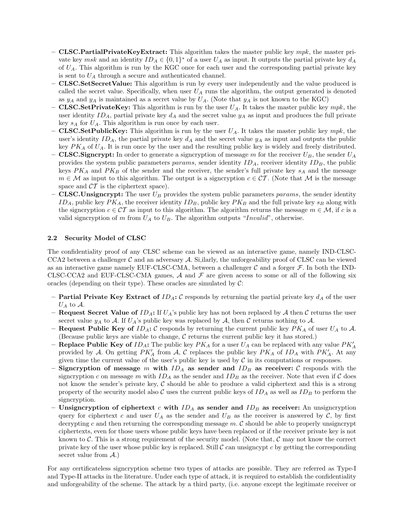- $-$  **CLSC.PartialPrivateKeyExtract:** This algorithm takes the master public key mpk, the master private key  $msk$  and an identity  $ID_A \in \{0,1\}^*$  of a user  $U_A$  as input. It outputs the partial private key  $d_A$ of  $U_A$ . This algorithm is run by the KGC once for each user and the corresponding partial private key is sent to  $U_A$  through a secure and authenticated channel.
- CLSC.SetSecretValue: This algorithm is run by every user independently and the value produced is called the secret value. Specifically, when user  $U_A$  runs the algorithm, the output generated is denoted as  $y_A$  and  $y_A$  is maintained as a secret value by  $U_A$ . (Note that  $y_A$  is not known to the KGC)
- CLSC.SetPrivateKey: This algorithm is run by the user  $U_A$ . It takes the master public key mpk, the user identity  $ID_A$ , partial private key  $d_A$  and the secret value  $y_A$  as input and produces the full private key  $s_A$  for  $U_A$ . This algorithm is run once by each user.
- **CLSC.SetPublicKey:** This algorithm is run by the user  $U_A$ . It takes the master public key mpk, the user's identity  $ID_A$ , the partial private key  $d_A$  and the secret value  $y_A$  as input and outputs the public key  $PK_A$  of  $U_A$ . It is run once by the user and the resulting public key is widely and freely distributed.
- CLSC. Signcrypt: In order to generate a signcryption of message m for the receiver  $U_B$ , the sender  $U_A$ provides the system public parameters params, sender identity  $ID<sub>A</sub>$ , receiver identity  $ID<sub>B</sub>$ , the public keys  $PK_A$  and  $PK_B$  of the sender and the receiver, the sender's full private key  $s_A$  and the message  $m \in \mathcal{M}$  as input to this algorithm. The output is a signcryption  $c \in \mathcal{CT}$ . (Note that  $\mathcal M$  is the message space and  $\mathcal{CT}$  is the ciphertext space).
- **CLSC. Unsigncrypt:** The user  $U_B$  provides the system public parameters params, the sender identity  $ID_A$ , public key  $PK_A$ , the receiver identity  $ID_B$ , public key  $PK_B$  and the full private key  $s_B$  along with the signcryption  $c \in \mathcal{CT}$  as input to this algorithm. The algorithm returns the message  $m \in \mathcal{M}$ , if c is a valid signcryption of m from  $U_A$  to  $U_B$ . The algorithm outputs "Invalid", otherwise.

## 2.2 Security Model of CLSC

The confidentiality proof of any CLSC scheme can be viewed as an interactive game, namely IND-CLSC-CCA2 between a challenger  $\mathcal C$  and an adversary  $\mathcal A$ . Si, ilarly, the unforgeability proof of CLSC can be viewed as an interactive game namely EUF-CLSC-CMA, between a challenger  $\mathcal C$  and a forger  $\mathcal F$ . In both the IND-CLSC-CCA2 and EUF-CLSC-CMA games,  $A$  and  $F$  are given access to some or all of the following six oracles (depending on their type). These oracles are simulated by  $\mathcal{C}$ :

- **Partial Private Key Extract of**  $ID_A$ :  $C$  responds by returning the partial private key  $d_A$  of the user  $U_A$  to  $\mathcal{A}$ .
- Request Secret Value of  $ID_A$ : If  $U_A$ 's public key has not been replaced by A then C returns the user secret value  $y_A$  to A. If  $U_A$ 's public key was replaced by A, then C returns nothing to A.
- Request Public Key of  $ID_A$ : C responds by returning the current public key  $PK_A$  of user  $U_A$  to A. (Because public keys are viable to change,  $C$  returns the current public key it has stored.)
- Replace Public Key of  $ID_A$ : The public key  $PK_A$  for a user  $U_A$  can be replaced with any value  $PK'_A$ provided by A. On getting  $PK'_A$  from A, C replaces the public key  $PK_A$  of  $ID_A$  with  $PK'_A$ . At any given time the current value of the user's public key is used by  $\mathcal C$  in its computations or responses.
- Signcryption of message m with  $ID_A$  as sender and  $ID_B$  as receiver: C responds with the signcryption c on message m with  $ID_A$  as the sender and  $ID_B$  as the receiver. Note that even if C does not know the sender's private key,  $\mathcal C$  should be able to produce a valid ciphertext and this is a strong property of the security model also C uses the current public keys of  $ID_A$  as well as  $ID_B$  to perform the signcryption.
- Unsigncryption of ciphertext c with  $ID_A$  as sender and  $ID_B$  as receiver: An unsigncryption query for ciphertext c and user  $U_A$  as the sender and  $U_B$  as the receiver is answered by C, by first decrypting c and then returning the corresponding message  $m$ . C should be able to properly unsigncrypt ciphertexts, even for those users whose public keys have been replaced or if the receiver private key is not known to  $\mathcal{C}$ . This is a strong requirement of the security model. (Note that,  $\mathcal{C}$  may not know the correct private key of the user whose public key is replaced. Still  $\mathcal C$  can unsigncypt c by getting the corresponding secret value from  $A$ .)

For any certificateless signcryption scheme two types of attacks are possible. They are referred as Type-I and Type-II attacks in the literature. Under each type of attack, it is required to establish the confidentiality and unforgeability of the scheme. The attack by a third party, (i.e. anyone except the legitimate receiver or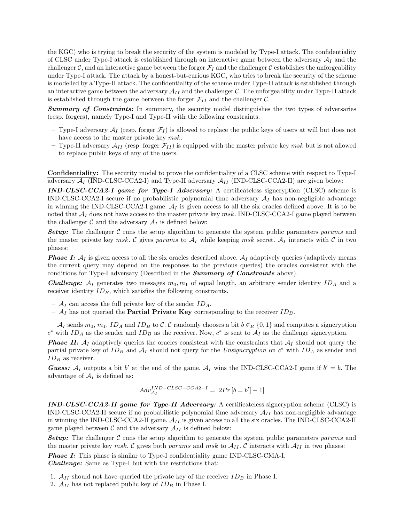the KGC) who is trying to break the security of the system is modeled by Type-I attack. The confidentiality of CLSC under Type-I attack is established through an interactive game between the adversary  $A_I$  and the challenger C, and an interactive game between the forger  $\mathcal{F}_I$  and the challenger C establishes the unforgeability under Type-I attack. The attack by a honest-but-curious KGC, who tries to break the security of the scheme is modelled by a Type-II attack. The confidentiality of the scheme under Type-II attack is established through an interactive game between the adversary  $A_{II}$  and the challenger C. The unforgeability under Type-II attack is established through the game between the forger  $\mathcal{F}_{II}$  and the challenger  $\mathcal{C}$ .

Summary of Constraints: In summary, the security model distinguishes the two types of adversaries (resp. forgers), namely Type-I and Type-II with the following constraints.

- Type-I adversary  $A_I$  (resp. forger  $F_I$ ) is allowed to replace the public keys of users at will but does not have access to the master private key  $msk$ .
- Type-II adversary  $\mathcal{A}_{II}$  (resp. forger  $\mathcal{F}_{II}$ ) is equipped with the master private key msk but is not allowed to replace public keys of any of the users.

Confidentiality: The security model to prove the confidentiality of a CLSC scheme with respect to Type-I adversary  $\mathcal{A}_I$  (IND-CLSC-CCA2-I) and Type-II adversary  $\mathcal{A}_{II}$  (IND-CLSC-CCA2-II) are given below:

IND-CLSC-CCA2-I game for Type-I Adversary: A certificateless signcryption (CLSC) scheme is IND-CLSC-CCA2-I secure if no probabilistic polynomial time adversary  $A_I$  has non-negligible advantage in winning the IND-CLSC-CCA2-I game.  $A_I$  is given access to all the six oracles defined above. It is to be noted that  $A_I$  does not have access to the master private key msk. IND-CLSC-CCA2-I game played between the challenger  $\mathcal C$  and the adversary  $\mathcal A_I$  is defined below:

**Setup:** The challenger C runs the setup algorithm to generate the system public parameters params and the master private key msk. C gives params to  $A_I$  while keeping msk secret.  $A_I$  interacts with C in two phases:

**Phase I:**  $A_I$  is given access to all the six oracles described above.  $A_I$  adaptively queries (adaptively means the current query may depend on the responses to the previous queries) the oracles consistent with the conditions for Type-I adversary (Described in the **Summary of Constraints** above).

**Challenge:**  $A_I$  generates two messages  $m_0, m_1$  of equal length, an arbitrary sender identity  $ID_A$  and a receiver identity  $ID_B$ , which satisfies the following constraints.

- $A_I$  can access the full private key of the sender  $ID_A$ .
- $A_I$  has not queried the **Partial Private Key** corresponding to the receiver  $ID_B$ .

 $\mathcal{A}_I$  sends  $m_0$ ,  $m_1$ ,  $ID_A$  and  $ID_B$  to C. C randomly chooses a bit  $b \in_R \{0,1\}$  and computes a signcryption  $c^*$  with  $ID_A$  as the sender and  $ID_B$  as the receiver. Now,  $c^*$  is sent to  $\mathcal{A}_I$  as the challenge signcryption.

**Phase II:**  $A_I$  adaptively queries the oracles consistent with the constraints that  $A_I$  should not query the partial private key of  $ID_B$  and  $A_I$  should not query for the Unsigncryption on  $c^*$  with  $ID_A$  as sender and  $ID_B$  as receiver.

**Guess:**  $A_I$  outputs a bit b' at the end of the game.  $A_I$  wins the IND-CLSC-CCA2-I game if  $b' = b$ . The advantage of  $A_I$  is defined as:

$$
Adv_{\mathcal{A}_I}^{IND-CLSC-CCA2-I} = |2Pr[b = b'] - 1|
$$

IND-CLSC-CCA2-II game for Type-II Adversary: A certificateless signcryption scheme (CLSC) is IND-CLSC-CCA2-II secure if no probabilistic polynomial time adversary  $A_{II}$  has non-negligible advantage in winning the IND-CLSC-CCA2-II game.  $A_{II}$  is given access to all the six oracles. The IND-CLSC-CCA2-II game played between C and the adversary  $A_{II}$  is defined below:

**Setup:** The challenger C runs the setup algorithm to generate the system public parameters params and the master private key msk. C gives both params and msk to  $A_{II}$ . C interacts with  $A_{II}$  in two phases:

**Phase I:** This phase is similar to Type-I confidentiality game IND-CLSC-CMA-I.

Challenge: Same as Type-I but with the restrictions that:

- 1.  $A_{II}$  should not have queried the private key of the receiver  $ID_B$  in Phase I.
- 2.  $A_{II}$  has not replaced public key of  $ID_B$  in Phase I.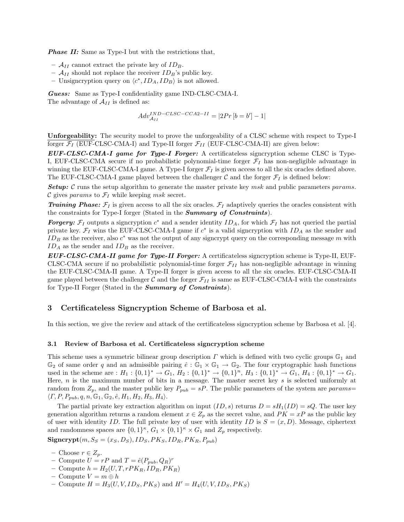**Phase II:** Same as Type-I but with the restrictions that,

- $A_{II}$  cannot extract the private key of  $ID_B$ .
- $A_{II}$  should not replace the receiver  $ID_B$ 's public key.
- Unsigncryption query on  $\langle c^*, ID_A, ID_B \rangle$  is not allowed.

Guess: Same as Type-I confidentiality game IND-CLSC-CMA-I. The advantage of  $A_{II}$  is defined as:

$$
Adv_{\mathcal{A}_{II}}^{IND-CLSC-CCA2-II}=|2Pr\left[b=b^{\prime}\right]-1|
$$

Unforgeability: The security model to prove the unforgeability of a CLSC scheme with respect to Type-I forger  $\mathcal{F}_I$  (EUF-CLSC-CMA-I) and Type-II forger  $\mathcal{F}_{II}$  (EUF-CLSC-CMA-II) are given below:

EUF-CLSC-CMA-I game for Type-I Forger: A certificateless signcryption scheme CLSC is Type-I, EUF-CLSC-CMA secure if no probabilistic polynomial-time forger  $\mathcal{F}_I$  has non-negligible advantage in winning the EUF-CLSC-CMA-I game. A Type-I forger  $\mathcal{F}_I$  is given access to all the six oracles defined above. The EUF-CLSC-CMA-I game played between the challenger  $\mathcal C$  and the forger  $\mathcal F_I$  is defined below:

**Setup:** C runs the setup algorithm to generate the master private key msk and public parameters params. C gives params to  $\mathcal{F}_I$  while keeping msk secret.

**Training Phase:**  $\mathcal{F}_I$  is given access to all the six oracles.  $\mathcal{F}_I$  adaptively queries the oracles consistent with the constraints for Type-I forger (Stated in the **Summary of Constraints**).

**Forgery:**  $\mathcal{F}_I$  outputs a signcryption  $c^*$  and a sender identity  $ID_A$ , for which  $\mathcal{F}_I$  has not queried the partial private key.  $\mathcal{F}_I$  wins the EUF-CLSC-CMA-I game if  $c^*$  is a valid signcryption with  $ID_A$  as the sender and  $ID_B$  as the receiver, also  $c^*$  was not the output of any signcrypt query on the corresponding message m with  $ID_A$  as the sender and  $ID_B$  as the receiver.

EUF-CLSC-CMA-II game for Type-II Forger: A certificateless signcryption scheme is Type-II, EUF-CLSC-CMA secure if no probabilistic polynomial-time forger  $\mathcal{F}_{II}$  has non-negligible advantage in winning the EUF-CLSC-CMA-II game. A Type-II forger is given access to all the six oracles. EUF-CLSC-CMA-II game played between the challenger C and the forger  $\mathcal{F}_{II}$  is same as EUF-CLSC-CMA-I with the constraints for Type-II Forger (Stated in the **Summary of Constraints**).

## 3 Certificateless Signcryption Scheme of Barbosa et al.

In this section, we give the review and attack of the certificateless signcryption scheme by Barbosa et al. [4].

#### 3.1 Review of Barbosa et al. Certificateless signcryption scheme

This scheme uses a symmetric bilinear group description  $\Gamma$  which is defined with two cyclic groups  $\mathbb{G}_1$  and  $\mathbb{G}_2$  of same order q and an admissible pairing  $\hat{e}: \mathbb{G}_1 \times \mathbb{G}_1 \to \mathbb{G}_2$ . The four cryptographic hash functions used in the scheme are :  $H_1: \{0,1\}^* \to G_1$ ,  $H_2: \{0,1\}^* \to \{0,1\}^n$ ,  $H_3: \{0,1\}^* \to G_1$ ,  $H_4: \{0,1\}^* \to G_1$ . Here,  $n$  is the maximum number of bits in a message. The master secret key  $s$  is selected uniformly at random from  $Z_p$ , and the master public key  $P_{pub} = sP$ . The public parameters of the system are params=  $\langle \Gamma, P, P_{pub}, q, n, \mathbb{G}_1, \mathbb{G}_2, \hat{e}, H_1, H_2, H_3, H_4 \rangle.$ 

The partial private key extraction algorithm on input  $(ID, s)$  returns  $D = sH<sub>1</sub>(ID) = sQ$ . The user key generation algorithm returns a random element  $x \in Z_p$  as the secret value, and  $PK = xP$  as the public key of user with identity ID. The full private key of user with identity ID is  $S = (x, D)$ . Message, ciphertext and randomness spaces are  $\{0,1\}^{\kappa}$ ,  $G_1 \times \{0,1\}^{\kappa} \times G_1$  and  $Z_p$  respectively.

 $Signerypt(m, S<sub>S</sub> = (x<sub>S</sub>, D<sub>S</sub>), ID<sub>S</sub>, PK<sub>S</sub>, ID<sub>R</sub>, PK<sub>R</sub>, P<sub>pub</sub>)$ 

- Choose r ∈ Zp.
- Compute  $U = rP$  and  $T = \hat{e}(P_{pub}, Q_R)^r$
- Compute  $h = H_2(U, T, rPK_R, ID_R, PK_R)$
- Compute  $V = m \oplus h$
- Compute  $H = H_3(U, V, ID_S, PK_S)$  and  $H' = H_4(U, V, ID_S, PK_S)$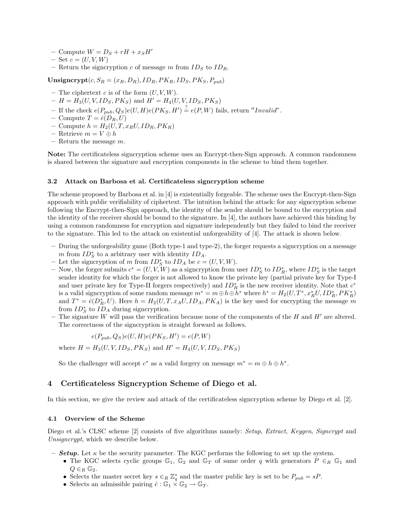- Compute  $W = D_S + rH + x_SH'$
- $-$  Set  $c = (U, V, W)$
- Return the signcryption c of message m from  $ID_S$  to  $ID_R$ .

Unsigncrypt $(c, S_R = (x_R, D_R), ID_R, PK_R, ID_S, PK_S, P_{pub})$ 

- The ciphertext  $c$  is of the form  $(U, V, W)$ .
- $-H = H_3(U, V, ID_S, PK_S)$  and  $H' = H_4(U, V, ID_S, PK_S)$
- If the check  $e(P_{pub}, Q_S)e(U, H)e(PK_S, H') \stackrel{?}{=} e(P, W)$  fails, return "Invalid".
- Compute  $T = \hat{e}(D_R, U)$
- Compute  $h = H_2(U, T, x_R U, ID_R, PK_R)$
- Retrieve  $m = V \oplus h$
- Return the message  $m$ .

Note: The certificateless signcryption scheme uses an Encrypt-then-Sign approach. A common randomness is shared between the signature and encryption components in the scheme to bind them together.

#### 3.2 Attack on Barbosa et al. Certificateless signcryption scheme

The scheme proposed by Barbosa et al. in [4] is existentially forgeable. The scheme uses the Encrypt-then-Sign approach with public verifiability of ciphertext. The intuition behind the attack: for any signcryption scheme following the Encrypt-then-Sign approach, the identity of the sender should be bound to the encryption and the identity of the receiver should be bound to the signature. In [4], the authors have achieved this binding by using a common randomness for encryption and signature independently but they failed to bind the receiver to the signature. This led to the attack on existential unforgeability of [4]. The attack is shown below.

- During the unforgeability game (Both type-1 and type-2), the forger requests a signcryption on a message m from  $ID_S^*$  to a arbitrary user with identity  $ID_A$ .
- − Let the signcryption of m from  $ID_S^*$  to  $ID_A$  be  $c = (U, V, W)$ .
- − Now, the forger submits  $c^* = (U, V, W)$  as a signcryption from user  $ID_S^*$  to  $ID_R^*$ , where  $ID_S^*$  is the target sender identity for which the forger is not allowed to know the private key (partial private key for Type-I and user private key for Type-II forgers respectively) and  $ID_R^*$  is the new receiver identity. Note that  $c^*$ is a valid signcryption of some random message  $m^* = m \oplus h \oplus h^*$  where  $h^* = H_2(U, T^*, x_R^* U, ID_R^*, PK_R^*)$ and  $T^* = \hat{e}(D_R^*, U)$ . Here  $h = H_2(U, T, x_A U, ID_A, PK_A)$  is the key used for encrypting the message m from  $ID_S^*$  to  $ID_A$  during signcryption.
- The signature W will pass the verification because none of the components of the H and  $H'$  are altered. The correctness of the signcryption is straight forward as follows.

$$
e(P_{pub}, Q_S)e(U, H)e(PK_S, H') = e(P, W)
$$

where  $H = H_3(U, V, ID_S, PK_S)$  and  $H' = H_4(U, V, ID_S, PK_S)$ 

So the challenger will accept  $c^*$  as a valid forgery on message  $m^* = m \oplus h \oplus h^*$ .

## 4 Certificateless Signcryption Scheme of Diego et al.

In this section, we give the review and attack of the certificateless signcryption scheme by Diego et al. [2].

#### 4.1 Overview of the Scheme

Diego et al.'s CLSC scheme [2] consists of five algorithms namely: Setup, Extract, Keygen, Signcrypt and Unsigncrypt, which we describe below.

- **Setup.** Let  $\kappa$  be the security parameter. The KGC performs the following to set up the system.
	- The KGC selects cyclic groups  $\mathbb{G}_1$ ,  $\mathbb{G}_2$  and  $\mathbb{G}_T$  of same order q with generators  $P \in_R \mathbb{G}_1$  and  $Q \in_R \mathbb{G}_2$ .
	- Selects the master secret key  $s \in_R \mathbb{Z}_q^*$  and the master public key is set to be  $P_{pub} = sP$ .
	- Selects an admissible pairing  $\hat{e}: \mathbb{G}_1 \times \mathbb{G}_2 \to \mathbb{G}_T$ .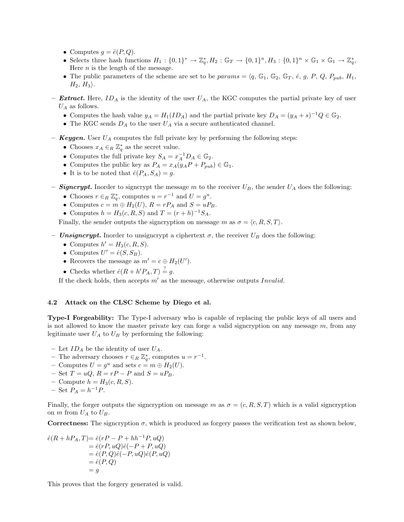- Computes  $q = \hat{e}(P, Q)$ .
- Selects three hash functions  $H_1: \{0,1\}^* \to \mathbb{Z}_q^*, H_2: \mathbb{G}_T \to \{0,1\}^n, H_3: \{0,1\}^n \times \mathbb{G}_1 \times \mathbb{G}_1 \to \mathbb{Z}_q^*,$ Here  $n$  is the length of the message.
- The public parameters of the scheme are set to be params =  $\langle q, \mathbb{G}_1, \mathbb{G}_2, \mathbb{G}_T, \hat{e}, q, P, Q, P_{pub}, H_1, \hat{e}, \hat{e}, q \rangle$  $H_2$ ,  $H_3$ ).
- **Extract.** Here,  $ID_A$  is the identity of the user  $U_A$ , the KGC computes the partial private key of user  $U_A$  as follows.
	- Computes the hash value  $y_A = H_1(ID_A)$  and the partial private key  $D_A = (y_A + s)^{-1} Q \in \mathbb{G}_2$ .
	- The KGC sends  $D_A$  to the user  $U_A$  via a secure authenticated channel.
- **Keygen.** User  $U_A$  computes the full private key by performing the following steps:
	- Chooses  $x_A \in_R \mathbb{Z}_q^*$  as the secret value.
	- Computes the full private key  $S_A = x_A^{-1} D_A \in \mathbb{G}_2$ .
	- Computes the public key as  $P_A = x_A(y_A P + P_{pub}) \in \mathbb{G}_1$ .
	- It is to be noted that  $\hat{e}(P_A, S_A) = g$ .
- **Signcrypt.** Inorder to signcrypt the message m to the receiver  $U_B$ , the sender  $U_A$  does the following:
	- Chooses  $r \in_R \mathbb{Z}_q^*$ , computes  $u = r^{-1}$  and  $U = g^u$ .
	- Computes  $c = m \oplus H_2(U)$ ,  $R = rP_A$  and  $S = uP_B$ .
	- Computes  $h = H_3(c, R, S)$  and  $T = (r + h)^{-1}S_A$ .

Finally, the sender outputs the signcryption on message m as  $\sigma = \langle c, R, S, T \rangle$ .

- **Unsigncrypt.** Inorder to unsigncrypt a ciphertext  $\sigma$ , the receiver  $U_B$  does the following:
	- Computes  $h' = H_3(c, R, S)$ .
	- Computes  $U' = \hat{e}(S, S_B)$ .
	- Recovers the message as  $m' = c \oplus H_2(U')$ .
	- Checks whether  $\hat{e}(R + h'P_A, T) \stackrel{?}{=} g$ .

If the check holds, then accepts  $m'$  as the message, otherwise outputs Invalid.

### 4.2 Attack on the CLSC Scheme by Diego et al.

Type-I Forgeability: The Type-I adversary who is capable of replacing the public keys of all users and is not allowed to know the master private key can forge a valid signcryption on any message  $m$ , from any legitimate user  $U_A$  to  $U_B$  by performing the following:

- Let  $ID_A$  be the identity of user  $U_A$ .
- The adversary chooses  $r \in_R \mathbb{Z}_q^*$ , computes  $u = r^{-1}$ .
- Computes  $U = g^u$  and sets  $c = m \oplus H_2(U)$ .
- Set  $T = uQ$ ,  $R = rP P$  and  $S = uP_B$ .
- Compute  $h = H_3(c, R, S)$ .
- $-$  Set  $P_A = h^{-1}P$ .

Finally, the forger outputs the signcryption on message m as  $\sigma = (c, R, S, T)$  which is a valid signcryption on  $m$  from  $U_A$  to  $U_B$ .

Correctness: The signcryption  $\sigma$ , which is produced as forgery passes the verification test as shown below,

$$
\begin{aligned} \hat{e}(R + hP_A, T) &= \hat{e}(rP - P + hh^{-1}P, uQ) \\ &= \hat{e}(rP, uQ)\hat{e}(-P + P, uQ) \\ &= \hat{e}(P, Q)\hat{e}(-P, uQ)\hat{e}(P, uQ) \\ &= \hat{e}(P, Q) \\ &= g \end{aligned}
$$

This proves that the forgery generated is valid.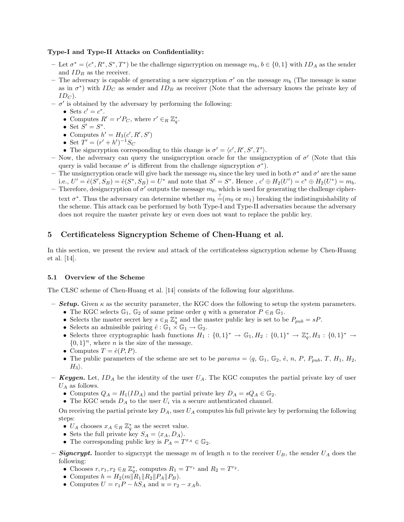#### Type-I and Type-II Attacks on Confidentiality:

- Let  $\sigma^* = (c^*, R^*, S^*, T^*)$  be the challenge signcryption on message  $m_b, b \in \{0, 1\}$  with  $ID_A$  as the sender and  $ID_B$  as the receiver.
- The adversary is capable of generating a new signcryption  $\sigma'$  on the message  $m_b$  (The message is same as in  $\sigma^*$ ) with  $ID_C$  as sender and  $ID_B$  as receiver (Note that the adversary knows the private key of  $ID_C$ ).
- $\sigma'$  is obtained by the adversary by performing the following:
	- Sets  $c' = c^*$ .
	- Computes  $R' = r' P_C$ , where  $r' \in_R \mathbb{Z}_q^*$ .
	- Set  $S' = S^*$ .
	- Computes  $h' = H_3(c', R', S')$
	- Set  $T' = (r' + h')^{-1}S_C$
	- The signcryption corresponding to this change is  $\sigma' = \langle c', R', S', T' \rangle$ .
- Now, the adversary can query the unsigncryption oracle for the unsigncryption of  $\sigma'$  (Note that this query is valid because  $\sigma'$  is different from the challenge signcryption  $\sigma^*$ ).
- The unsigncryption oracle will give back the message  $m_b$  since the key used in both  $\sigma^*$  and  $\sigma'$  are the same i.e.,  $U' = \hat{e}(S', S_B) = \hat{e}(S^*, S_B) = U^*$  and note that  $S' = S^*$ . Hence,  $c' \oplus H_2(U') = c^* \oplus H_2(U^*) = m_b$ .
- Therefore, designcryption of  $\sigma'$  outputs the message  $m_b$ , which is used for generating the challenge ciphertext  $\sigma^*$ . Thus the adversary can determine whether  $m_b \stackrel{?}{=} (m_0 \text{ or } m_1)$  breaking the indistinguishability of the scheme. This attack can be performed by both Type-I and Type-II adversaties because the adversary does not require the master private key or even does not want to replace the public key.

## 5 Certificateless Signcryption Scheme of Chen-Huang et al.

In this section, we present the review and attack of the certificateless signcryption scheme by Chen-Huang et al. [14].

#### 5.1 Overview of the Scheme

The CLSC scheme of Chen-Huang et al. [14] consists of the following four algorithms.

- **Setup.** Given  $\kappa$  as the security parameter, the KGC does the following to setup the system parameters. • The KGC selects  $\mathbb{G}_1$ ,  $\mathbb{G}_2$  of same prime order q with a generator  $P \in_R \mathbb{G}_1$ .
	- Selects the master secret key  $s \in_R \mathbb{Z}_q^*$  and the master public key is set to be  $P_{pub} = sP$ .
	- Selects an admissible pairing  $\hat{e}: \mathbb{G}_1 \times \mathbb{G}_1 \to \mathbb{G}_2$ .
	- Selects three cryptographic hash functions  $H_1: \{0,1\}^* \to \mathbb{G}_1, H_2: \{0,1\}^* \to \mathbb{Z}_q^*, H_3: \{0,1\}^* \to$  $\{0,1\}^n$ , where *n* is the size of the message.
	- Computes  $T = \hat{e}(P, P)$ .
	- The public parameters of the scheme are set to be  $params = \langle q, \mathbb{G}_1, \mathbb{G}_2, \hat{e}, n, P, P_{pub}, T, H_1, H_2, \rangle$  $H_3$ .
- **Keygen.** Let,  $ID_A$  be the identity of the user  $U_A$ . The KGC computes the partial private key of user  $U_A$  as follows.
	- Computes  $Q_A = H_1(ID_A)$  and the partial private key  $D_A = sQ_A \in \mathbb{G}_2$ .
	- The KGC sends  $D_A$  to the user  $U_i$  via a secure authenticated channel.

On receiving the partial private key  $D_A$ , user  $U_A$  computes his full private key by performing the following steps:

- $U_A$  chooses  $x_A \in_R \mathbb{Z}_q^*$  as the secret value.
- Sets the full private key  $S_A = \langle x_A, D_A \rangle$ .
- The corresponding public key is  $P_A = T^{x_A} \in \mathbb{G}_2$ .
- **Signcrypt.** Inorder to signcrypt the message m of length n to the receiver  $U_B$ , the sender  $U_A$  does the following:
	- Chooses  $r, r_1, r_2 \in_R \mathbb{Z}_q^*$ , computes  $R_1 = T^{r_1}$  and  $R_2 = T^{r_2}$ .
	- Computes  $h = H_2(m||R_1||R_2||P_A||P_B)$ .
	- Computes  $U = r_1P hS_A$  and  $u = r_2 x_Ah$ .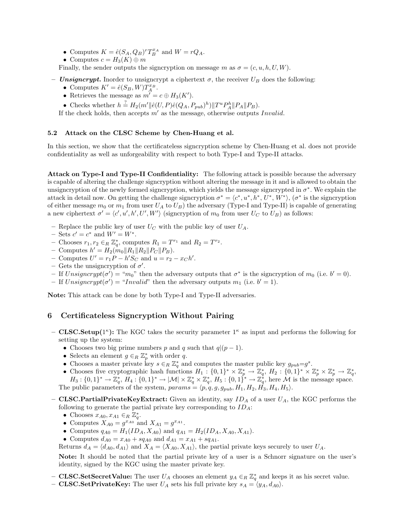- Computes  $K = \hat{e}(S_A, Q_B)^r T_B^{xA}$  and  $W = rQ_A$ .
- Computes  $c = H_3(K) \oplus m$

Finally, the sender outputs the signcryption on message m as  $\sigma = (c, u, h, U, W)$ .

- Unsigncrypt. Inorder to unsigncrypt a ciphertext  $\sigma$ , the receiver  $U_B$  does the following:
	- Computes  $K' = \hat{e}(S_B, W) T_A^{x_B}$ .
	- Retrieves the message as  $m' = c \oplus H_3(K')$ .
	- Checks whether  $h \stackrel{?}{=} H_2(m' || \hat{e}(U, P) \hat{e}(Q_A, P_{pub})^h) || T^u P_A^h || P_A || P_B)$ .

If the check holds, then accepts  $m'$  as the message, otherwise outputs Invalid.

#### 5.2 Attack on the CLSC Scheme by Chen-Huang et al.

In this section, we show that the certificateless signcryption scheme by Chen-Huang et al. does not provide confidentiality as well as unforgeability with respect to both Type-I and Type-II attacks.

Attack on Type-I and Type-II Confidentiality: The following attack is possible because the adversary is capable of altering the challenge signcryption without altering the message in it and is allowed to obtain the unsigncryption of the newly formed signcryption, which yields the message signcrypted in  $\sigma^*$ . We explain the attack in detail now. On getting the challenge signcryption  $\sigma^* = \langle c^*, u^*, h^*, U^*, W^* \rangle$ ,  $(\sigma^*$  is the signcryption of either message  $m_0$  or  $m_1$  from user  $U_A$  to  $U_B$ ) the adversary (Type-I and Type-II) is capable of generating a new ciphertext  $\sigma' = \langle c', u', h', U', W' \rangle$  (signcryption of  $m_0$  from user  $U_C$  to  $U_B$ ) as follows:

- Replace the public key of user  $U_C$  with the public key of user  $U_A$ .
- $-$  Sets  $c' = c^*$  and  $W' = W^*$ .
- Chooses  $r_1, r_2 \in_R \mathbb{Z}_q^*$ , computes  $R_1 = T^{r_1}$  and  $R_2 = T^{r_2}$ .
- Computes  $h' = H_2(m_0||R_1||R_2||P_C||P_B)$ .
- Computes  $U' = r_1 P h' S_C$  and  $u = r_2 x_C h'$ .
- Gets the unsigncryption of  $\sigma'$ .
- If  $\text{Unsigncrypt}(\sigma') = \text{``}m_0$ " then the adversary outputs that  $\sigma^*$  is the signcryption of  $m_0$  (i.e.  $b' = 0$ ).
- If  $\text{Unsigncrypt}(\sigma') = \text{``Invalid''}$  then the adversary outputs  $m_1$  (i.e.  $b' = 1$ ).

Note: This attack can be done by both Type-I and Type-II adversaries.

## 6 Certificateless Signcryption Without Pairing

- CLSC.Setup( $1^{\kappa}$ ): The KGC takes the security parameter  $1^{\kappa}$  as input and performs the following for setting up the system:
	- Chooses two big prime numbers p and q such that  $q|(p-1)$ .
	- Selects an element  $g \in_R \mathbb{Z}_p^*$  with order q.
	- Chooses a master private key  $s \in_R \mathbb{Z}_q^*$  and computes the master public key  $g_{pub}=g^s$ .
	- Chooses five cryptographic hash functions  $H_1: \{0,1\}^* \times \mathbb{Z}_p^* \to \mathbb{Z}_q^*, H_2: \{0,1\}^* \times \mathbb{Z}_p^* \times \mathbb{Z}_p^* \to \mathbb{Z}_q^*,$  $H_3: \{0,1\}^* \to \mathbb{Z}_q^*, H_4: \{0,1\}^* \to |\mathcal{M}| \times \mathbb{Z}_q^* \times \mathbb{Z}_q^*, H_5: \{0,1\}^* \to \mathbb{Z}_q^*,$  here  $\mathcal M$  is the message space.

The public parameters of the system,  $params = \langle p, q, g, g_{pub}, H_1, H_2, H_3, H_4, H_5 \rangle$ .

- CLSC.PartialPrivateKeyExtract: Given an identity, say  $ID_A$  of a user  $U_A$ , the KGC performs the following to generate the partial private key corresponding to  $ID_A$ :
	- Chooses  $x_{A0}, x_{A1} \in_R \mathbb{Z}_q^*$ .
	- Computes  $X_{A0} = g^{x_{A0}}$  and  $X_{A1} = g^{x_{A1}}$ .
	- Computes  $q_{A0} = H_1(ID_A, X_{A0})$  and  $q_{A1} = H_2(ID_A, X_{A0}, X_{A1}).$
	- Computes  $d_{A0} = x_{A0} + sq_{A0}$  and  $d_{A1} = x_{A1} + sq_{A1}$ .

Returns  $d_A = \langle d_{A0}, d_{A1} \rangle$  and  $X_A = \langle X_{A0}, X_{A1} \rangle$ , the partial private keys securely to user  $U_A$ .

Note: It should be noted that the partial private key of a user is a Schnorr signature on the user's identity, signed by the KGC using the master private key.

- **CLSC.SetSecretValue:** The user  $U_A$  chooses an element  $y_A \in_R \mathbb{Z}_q^*$  and keeps it as his secret value.
- CLSC.SetPrivateKey: The user  $U_A$  sets his full private key  $s_A = \langle y_A, d_{A0} \rangle$ .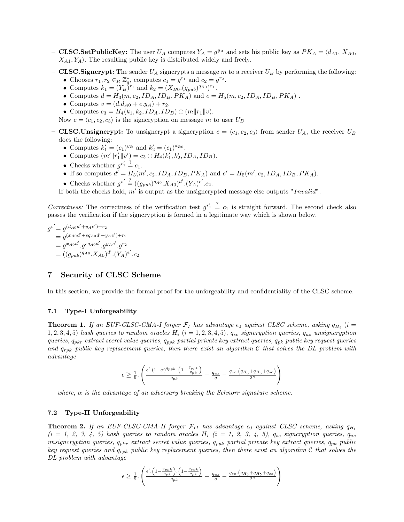- **CLSC.SetPublicKey:** The user  $U_A$  computes  $Y_A = g^{y_A}$  and sets his public key as  $PK_A = \langle d_{A1}, X_{A0},$  $X_{A1}, Y_{A}$ . The resulting public key is distributed widely and freely.
- CLSC. Signcrypt: The sender  $U_A$  signcrypts a message m to a receiver  $U_B$  by performing the following:
	- Chooses  $r_1, r_2 \in_R \mathbb{Z}_q^*$ , computes  $c_1 = g^{r_1}$  and  $c_2 = g^{r_2}$ .
	- Computes  $k_1 = (Y_B)^{r_1}$  and  $k_2 = (X_{B0}.(g_{pub})^{q_{B0}})^{r_1}$ .
	- Computes  $d = H_3(m, c_2, ID_A, ID_B, PK_A)$  and  $e = H_5(m, c_2, ID_A, ID_B, PK_A)$ .
	- Computes  $v = (d.d_{A0} + e.y_A) + r_2$ .
	- Computes  $c_3 = H_4(k_1, k_2, ID_A, ID_B) \oplus (m||r_1||v)$ .

Now  $c = \langle c_1, c_2, c_3 \rangle$  is the signcryption on message m to user  $U_B$ 

- **CLSC.**Unsigncrypt: To unsigncrypt a signcryption  $c = \langle c_1, c_2, c_3 \rangle$  from sender  $U_A$ , the receiver  $U_B$ does the following:
	- Computes  $k'_1 = (c_1)^{y_B}$  and  $k'_2 = (c_1)^{d_{B0}}$ .
	- Computes  $(m'\|r'_1\|v') = c_3 \oplus H_4(k'_1, k'_2, ID_A, ID_B).$
	- Checks whether  $g^{r'_1} \stackrel{?}{=} c_1$ .
	- If so computes  $d' = H_3(m', c_2, ID_A, ID_B, PK_A)$  and  $e' = H_5(m', c_2, ID_A, ID_B, PK_A)$ .
	- Checks whether  $g^{v'} \stackrel{?}{=} ((g_{pub})^{q_{A0}}.X_{A0})^{d'}.(Y_{A})^{e'}.c_2.$

If both the checks hold,  $m'$  is output as the unsigncrypted message else outputs "Invalid".

Correctness: The correctness of the verification test  $g^{r'_1} \stackrel{?}{=} c_1$  is straight forward. The second check also passes the verification if the signcryption is formed in a legitimate way which is shown below.

$$
g^{v'} = g^{(d_{A0}d' + y_Ae')+r_2}
$$
  
=  $g^{(x_{A0}d' + sq_{A0}d' + y_Ae')+r_2}$   
=  $g^{x_{A0}d'}$ .  $g^{s_{A0}d'}$ .  $g^{y_Ae'}$ .  $g^{r_2}$   
=  $((g_{pub})^{q_{A0}}.X_{A0})^{d'}$ .  $(Y_A)^{e'}$ .  $c_2$ 

## 7 Security of CLSC Scheme

In this section, we provide the formal proof for the unforgeability and confidentiality of the CLSC scheme.

### 7.1 Type-I Unforgeability

**Theorem 1.** If an EUF-CLSC-CMA-I forger  $\mathcal{F}_I$  has advantage  $\epsilon_0$  against CLSC scheme, asking  $q_{H_i}$  (i = 1, 2, 3, 4, 5) hash queries to random oracles  $H_i$  (i = 1, 2, 3, 4, 5),  $q_{sc}$  signcryption queries,  $q_{us}$  unsigncryption queries,  $q_{pkr}$  extract secret value queries,  $q_{ppk}$  partial private key extract queries,  $q_{pk}$  public key request queries and  $q_{\text{rpk}}$  public key replacement queries, then there exist an algorithm C that solves the DL problem with advantage

$$
\epsilon \ge \frac{1}{9} \cdot \left( \frac{\epsilon'.(1-\alpha)^{q_{ppk}} \cdot \left(1 - \frac{q_{ppk}}{q_{pk}}\right)}{q_{pk}} - \frac{q_{us}}{q} - \frac{q_{sc} \cdot (q_{H_3} + q_{H_5} + q_{sc})}{2^{\kappa}} \right)
$$

where,  $\alpha$  is the advantage of an adversary breaking the Schnorr signature scheme.

#### 7.2 Type-II Unforgeability

**Theorem 2.** If an EUF-CLSC-CMA-II forger  $\mathcal{F}_{II}$  has advantage  $\epsilon_0$  against CLSC scheme, asking  $q_{H_i}$  $(i = 1, 2, 3, 4, 5)$  hash queries to random oracles  $H_i$   $(i = 1, 2, 3, 4, 5)$ ,  $q_{sc}$  signcryption queries,  $q_{us}$ unsigncryption queries,  $q_{pkr}$  extract secret value queries,  $q_{ppk}$  partial private key extract queries,  $q_{pk}$  public key request queries and  $q_{rpk}$  public key replacement queries, then there exist an algorithm C that solves the DL problem with advantage

$$
\epsilon \geq \frac{1}{9} \cdot \left( \frac{\epsilon' \cdot \left(1 - \frac{q_{ppk}}{q_{pk}}\right) \cdot \left(1 - \frac{q_{rpk}}{q_{pk}}\right)}{q_{pk}} - \frac{q_{us}}{q} - \frac{q_{sc} \cdot \left(q_{H_3} + q_{H_5} + q_{sc}\right)}{2^{\kappa}} \right)
$$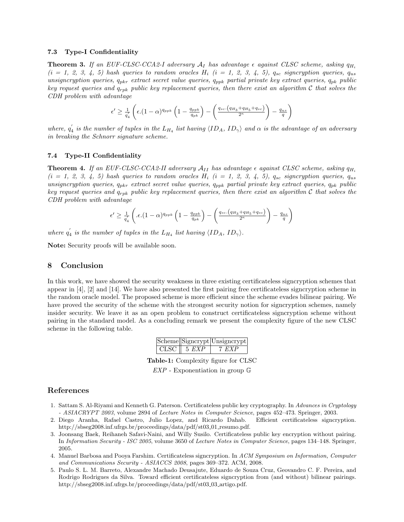#### 7.3 Type-I Confidentiality

**Theorem 3.** If an EUF-CLSC-CCA2-I adversary  $A_I$  has advantage  $\epsilon$  against CLSC scheme, asking  $q_{H_i}$  $(i = 1, 2, 3, 4, 5)$  hash queries to random oracles  $H_i$   $(i = 1, 2, 3, 4, 5)$ ,  $q_{sc}$  signcryption queries,  $q_{us}$ unsigncryption queries,  $q_{pkr}$  extract secret value queries,  $q_{ppk}$  partial private key extract queries,  $q_{pk}$  public key request queries and  $q_{rpk}$  public key replacement queries, then there exist an algorithm C that solves the CDH problem with advantage

$$
\epsilon' \geq \frac{1}{q'_4} \left( \epsilon \cdot (1-\alpha)^{q_{ppk}} \left( 1 - \frac{q_{ppk}}{q_{pk}} \right) - \left( \frac{q_{sc} \cdot (q_{H_3} + q_{H_5} + q_{sc})}{2^{\kappa}} \right) - \frac{q_{us}}{q} \right)
$$

where,  $q_4'$  is the number of tuples in the  $L_{H_4}$  list having  $\langle ID_A, ID_\gamma \rangle$  and  $\alpha$  is the advantage of an adversary in breaking the Schnorr signature scheme.

#### 7.4 Type-II Confidentiality

**Theorem 4.** If an EUF-CLSC-CCA2-II adversary  $A_{II}$  has advantage  $\epsilon$  against CLSC scheme, asking  $q_{H_i}$  $(i = 1, 2, 3, 4, 5)$  hash queries to random oracles  $H_i$   $(i = 1, 2, 3, 4, 5)$ ,  $q_{sc}$  signcryption queries,  $q_{us}$ unsigncryption queries,  $q_{pkr}$  extract secret value queries,  $q_{ppk}$  partial private key extract queries,  $q_{pk}$  public key request queries and  $q_{rpk}$  public key replacement queries, then there exist an algorithm  $C$  that solves the CDH problem with advantage

$$
\epsilon' \ge \frac{1}{q'_4} \left( .\epsilon . (1-\alpha)^{q_{ppk}} \left(1 - \frac{q_{ppk}}{q_{pk}}\right) - \left( \frac{q_{sc} \cdot (q_{H_3} + q_{H_5} + q_{sc})}{2^k}\right) - \frac{q_{us}}{q} \right)
$$

where  $q'_4$  is the number of tuples in the  $L_{H_4}$  list having  $\langle ID_A, ID_\gamma \rangle$ .

Note: Security proofs will be available soon.

## 8 Conclusion

In this work, we have showed the security weakness in three existing certificateless signcryption schemes that appear in [4], [2] and [14]. We have also presented the first pairing free certificateless signcryption scheme in the random oracle model. The proposed scheme is more efficient since the scheme evades bilinear pairing. We have proved the security of the scheme with the strongest security notion for signcryption schemes, namely insider security. We leave it as an open problem to construct certificateless signcryption scheme without pairing in the standard model. As a concluding remark we present the complexity figure of the new CLSC scheme in the following table.

|  |                          | Scheme Signcrypt Unsigncrypt |
|--|--------------------------|------------------------------|
|  | CLSC $\parallel$ 5 $EXP$ | 7 F.XP                       |

Table-1: Complexity figure for CLSC

 $EXP$  - Exponentiation in group  $\mathbb{G}$ 

## References

- 1. Sattam S. Al-Riyami and Kenneth G. Paterson. Certificateless public key cryptography. In Advances in Cryptology - ASIACRYPT 2003, volume 2894 of Lecture Notes in Computer Science, pages 452–473. Springer, 2003.
- 2. Diego Aranha, Rafael Castro, Julio Lopez, and Ricardo Dahab. Efficient certificateless signcryption. http://sbseg2008.inf.ufrgs.br/proceedings/data/pdf/st03\_01\_resumo.pdf.
- 3. Joonsang Baek, Reihaneh Safavi-Naini, and Willy Susilo. Certificateless public key encryption without pairing. In Information Security - ISC 2005, volume 3650 of Lecture Notes in Computer Science, pages 134–148. Springer, 2005.
- 4. Manuel Barbosa and Pooya Farshim. Certificateless signcryption. In ACM Symposium on Information, Computer and Communications Security - ASIACCS 2008, pages 369–372. ACM, 2008.
- 5. Paulo S. L. M. Barreto, Alexandre Machado Deusajute, Eduardo de Souza Cruz, Geovandro C. F. Pereira, and Rodrigo Rodrigues da Silva. Toward efficient certificateless signcryption from (and without) bilinear pairings. http://sbseg2008.inf.ufrgs.br/proceedings/data/pdf/st03 03 artigo.pdf.